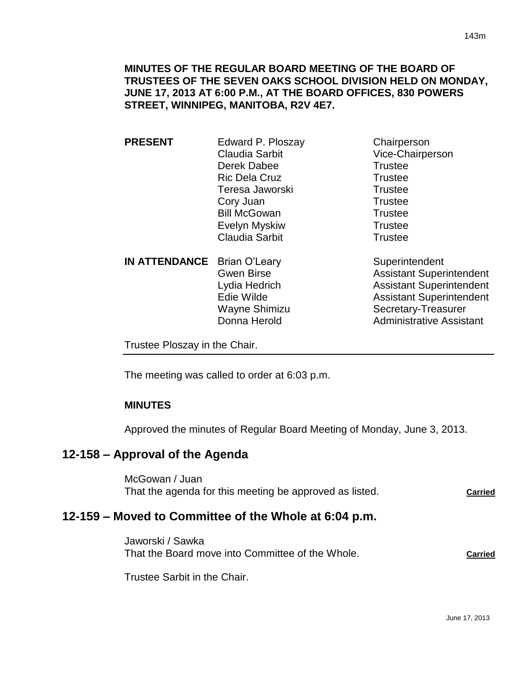**MINUTES OF THE REGULAR BOARD MEETING OF THE BOARD OF TRUSTEES OF THE SEVEN OAKS SCHOOL DIVISION HELD ON MONDAY, JUNE 17, 2013 AT 6:00 P.M., AT THE BOARD OFFICES, 830 POWERS STREET, WINNIPEG, MANITOBA, R2V 4E7.**

**PRESENT** Edward P. Ploszay Chairperson Claudia Sarbit Vice-Chairperson Derek Dabee Trustee Ric Dela Cruz **Trustee** Teresa Jaworski **Trustee** Cory Juan Trustee Bill McGowan Trustee Evelyn Myskiw **Trustee** Claudia Sarbit **Trustee** 

**IN ATTENDANCE** Brian O'Leary Superintendent

Gwen Birse **Assistant Superintendent** Lydia Hedrich Assistant Superintendent Edie Wilde **Assistant Superintendent** Wayne Shimizu Secretary-Treasurer Donna Herold **Administrative Assistant** 

Trustee Ploszay in the Chair.

The meeting was called to order at 6:03 p.m.

#### **MINUTES**

Approved the minutes of Regular Board Meeting of Monday, June 3, 2013.

## **12-158 – Approval of the Agenda**

McGowan / Juan That the agenda for this meeting be approved as listed. **Carried**

# **12-159 – Moved to Committee of the Whole at 6:04 p.m.**

Jaworski / Sawka That the Board move into Committee of the Whole. **Carried**

Trustee Sarbit in the Chair.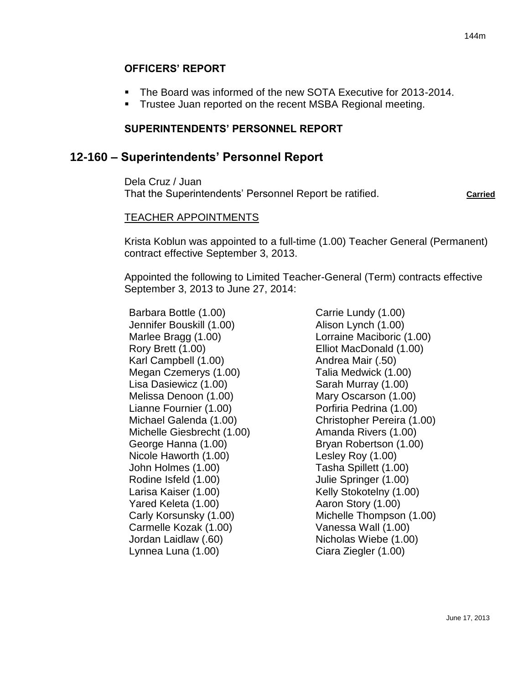#### **OFFICERS' REPORT**

- The Board was informed of the new SOTA Executive for 2013-2014.
- **Trustee Juan reported on the recent MSBA Regional meeting.**

#### **SUPERINTENDENTS' PERSONNEL REPORT**

# **12-160 – Superintendents' Personnel Report**

Dela Cruz / Juan That the Superintendents' Personnel Report be ratified. **Carried** Carried

#### TEACHER APPOINTMENTS

Krista Koblun was appointed to a full-time (1.00) Teacher General (Permanent) contract effective September 3, 2013.

Appointed the following to Limited Teacher-General (Term) contracts effective September 3, 2013 to June 27, 2014:

Barbara Bottle (1.00) Jennifer Bouskill (1.00) Marlee Bragg (1.00) Rory Brett (1.00) Karl Campbell (1.00) Megan Czemerys (1.00) Lisa Dasiewicz (1.00) Melissa Denoon (1.00) Lianne Fournier (1.00) Michael Galenda (1.00) Michelle Giesbrecht (1.00) George Hanna (1.00) Nicole Haworth (1.00) John Holmes (1.00) Rodine Isfeld (1.00) Larisa Kaiser (1.00) Yared Keleta (1.00) Carly Korsunsky (1.00) Carmelle Kozak (1.00) Jordan Laidlaw (.60) Lynnea Luna (1.00)

Carrie Lundy (1.00) Alison Lynch (1.00) Lorraine Maciboric (1.00) Elliot MacDonald (1.00) Andrea Mair (.50) Talia Medwick (1.00) Sarah Murray (1.00) Mary Oscarson (1.00) Porfiria Pedrina (1.00) Christopher Pereira (1.00) Amanda Rivers (1.00) Bryan Robertson (1.00) Lesley Roy (1.00) Tasha Spillett (1.00) Julie Springer (1.00) Kelly Stokotelny (1.00) Aaron Story (1.00) Michelle Thompson (1.00) Vanessa Wall (1.00) Nicholas Wiebe (1.00) Ciara Ziegler (1.00)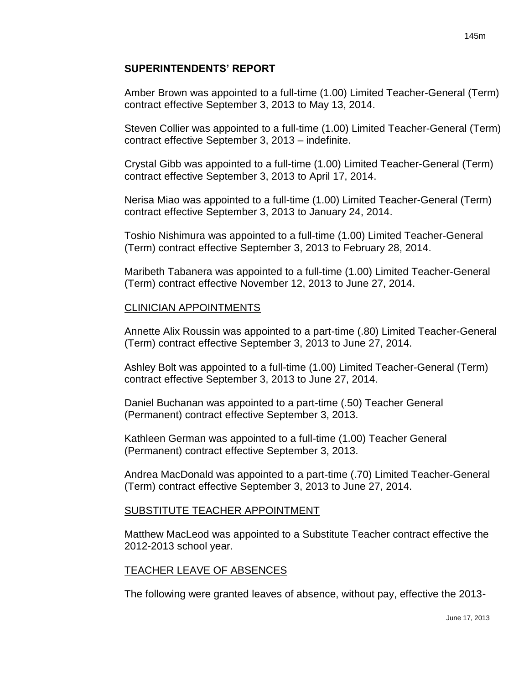#### **SUPERINTENDENTS' REPORT**

Amber Brown was appointed to a full-time (1.00) Limited Teacher-General (Term) contract effective September 3, 2013 to May 13, 2014.

Steven Collier was appointed to a full-time (1.00) Limited Teacher-General (Term) contract effective September 3, 2013 – indefinite.

Crystal Gibb was appointed to a full-time (1.00) Limited Teacher-General (Term) contract effective September 3, 2013 to April 17, 2014.

Nerisa Miao was appointed to a full-time (1.00) Limited Teacher-General (Term) contract effective September 3, 2013 to January 24, 2014.

Toshio Nishimura was appointed to a full-time (1.00) Limited Teacher-General (Term) contract effective September 3, 2013 to February 28, 2014.

Maribeth Tabanera was appointed to a full-time (1.00) Limited Teacher-General (Term) contract effective November 12, 2013 to June 27, 2014.

#### CLINICIAN APPOINTMENTS

Annette Alix Roussin was appointed to a part-time (.80) Limited Teacher-General (Term) contract effective September 3, 2013 to June 27, 2014.

Ashley Bolt was appointed to a full-time (1.00) Limited Teacher-General (Term) contract effective September 3, 2013 to June 27, 2014.

Daniel Buchanan was appointed to a part-time (.50) Teacher General (Permanent) contract effective September 3, 2013.

Kathleen German was appointed to a full-time (1.00) Teacher General (Permanent) contract effective September 3, 2013.

Andrea MacDonald was appointed to a part-time (.70) Limited Teacher-General (Term) contract effective September 3, 2013 to June 27, 2014.

#### SUBSTITUTE TEACHER APPOINTMENT

Matthew MacLeod was appointed to a Substitute Teacher contract effective the 2012-2013 school year.

#### TEACHER LEAVE OF ABSENCES

The following were granted leaves of absence, without pay, effective the 2013-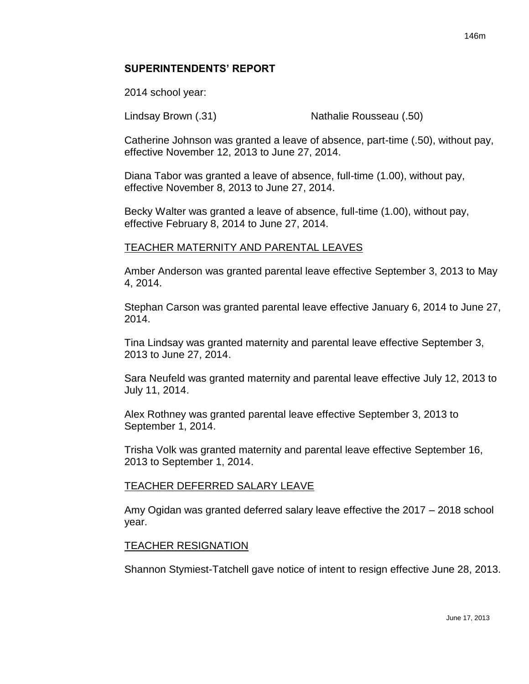#### **SUPERINTENDENTS' REPORT**

2014 school year:

Lindsay Brown (.31) Nathalie Rousseau (.50)

Catherine Johnson was granted a leave of absence, part-time (.50), without pay, effective November 12, 2013 to June 27, 2014.

Diana Tabor was granted a leave of absence, full-time (1.00), without pay, effective November 8, 2013 to June 27, 2014.

Becky Walter was granted a leave of absence, full-time (1.00), without pay, effective February 8, 2014 to June 27, 2014.

#### TEACHER MATERNITY AND PARENTAL LEAVES

Amber Anderson was granted parental leave effective September 3, 2013 to May 4, 2014.

Stephan Carson was granted parental leave effective January 6, 2014 to June 27, 2014.

Tina Lindsay was granted maternity and parental leave effective September 3, 2013 to June 27, 2014.

Sara Neufeld was granted maternity and parental leave effective July 12, 2013 to July 11, 2014.

Alex Rothney was granted parental leave effective September 3, 2013 to September 1, 2014.

Trisha Volk was granted maternity and parental leave effective September 16, 2013 to September 1, 2014.

#### TEACHER DEFERRED SALARY LEAVE

Amy Ogidan was granted deferred salary leave effective the 2017 – 2018 school year.

#### TEACHER RESIGNATION

Shannon Stymiest-Tatchell gave notice of intent to resign effective June 28, 2013.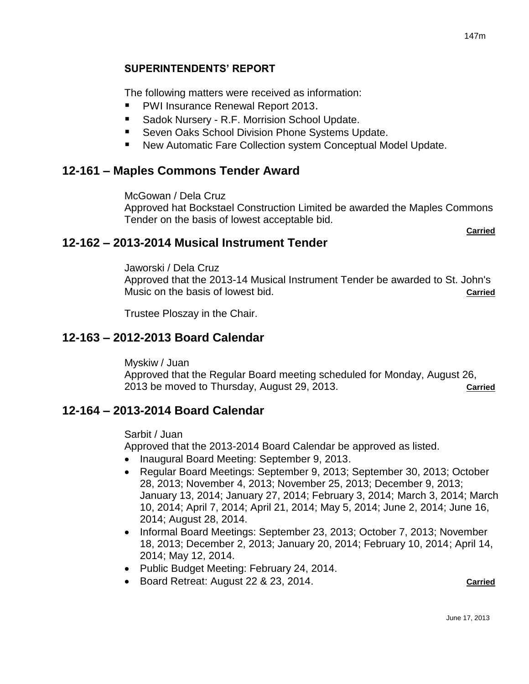# **SUPERINTENDENTS' REPORT**

The following matters were received as information:

- PWI Insurance Renewal Report 2013.
- Sadok Nursery R.F. Morrision School Update.
- **Seven Oaks School Division Phone Systems Update.**
- New Automatic Fare Collection system Conceptual Model Update.

# **12-161 – Maples Commons Tender Award**

McGowan / Dela Cruz

Approved hat Bockstael Construction Limited be awarded the Maples Commons Tender on the basis of lowest acceptable bid.

**Carried**

# **12-162 – 2013-2014 Musical Instrument Tender**

Jaworski / Dela Cruz

Approved that the 2013-14 Musical Instrument Tender be awarded to St. John's Music on the basis of lowest bid. **Carried**

Trustee Ploszay in the Chair.

# **12-163 – 2012-2013 Board Calendar**

Myskiw / Juan

Approved that the Regular Board meeting scheduled for Monday, August 26, 2013 be moved to Thursday, August 29, 2013. **Carried**

# **12-164 – 2013-2014 Board Calendar**

Sarbit / Juan

Approved that the 2013-2014 Board Calendar be approved as listed.

- Inaugural Board Meeting: September 9, 2013.
- Regular Board Meetings: September 9, 2013; September 30, 2013; October 28, 2013; November 4, 2013; November 25, 2013; December 9, 2013; January 13, 2014; January 27, 2014; February 3, 2014; March 3, 2014; March 10, 2014; April 7, 2014; April 21, 2014; May 5, 2014; June 2, 2014; June 16, 2014; August 28, 2014.
- Informal Board Meetings: September 23, 2013; October 7, 2013; November 18, 2013; December 2, 2013; January 20, 2014; February 10, 2014; April 14, 2014; May 12, 2014.
- Public Budget Meeting: February 24, 2014.
- Board Retreat: August 22 & 23, 2014. **Carried**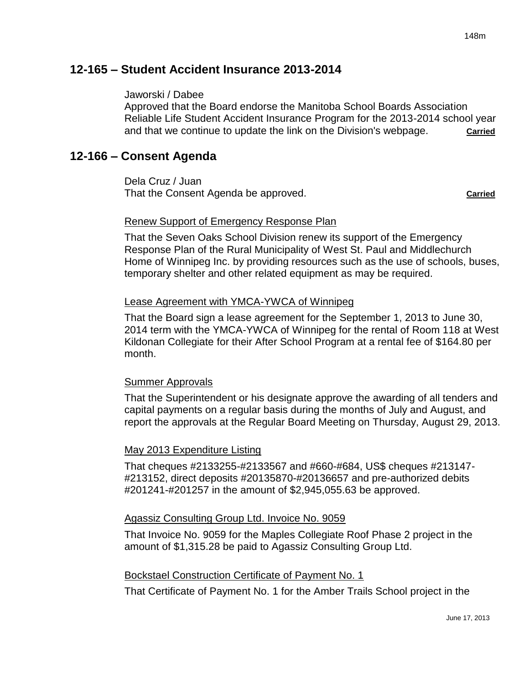# **12-165 – Student Accident Insurance 2013-2014**

#### Jaworski / Dabee

Approved that the Board endorse the Manitoba School Boards Association Reliable Life Student Accident Insurance Program for the 2013-2014 school year and that we continue to update the link on the Division's webpage. **Carried** 

# **12-166 – Consent Agenda**

Dela Cruz / Juan That the Consent Agenda be approved. That the Consent Agenda be approved.

## Renew Support of Emergency Response Plan

That the Seven Oaks School Division renew its support of the Emergency Response Plan of the Rural Municipality of West St. Paul and Middlechurch Home of Winnipeg Inc. by providing resources such as the use of schools, buses, temporary shelter and other related equipment as may be required.

#### Lease Agreement with YMCA-YWCA of Winnipeg

That the Board sign a lease agreement for the September 1, 2013 to June 30, 2014 term with the YMCA-YWCA of Winnipeg for the rental of Room 118 at West Kildonan Collegiate for their After School Program at a rental fee of \$164.80 per month.

## Summer Approvals

That the Superintendent or his designate approve the awarding of all tenders and capital payments on a regular basis during the months of July and August, and report the approvals at the Regular Board Meeting on Thursday, August 29, 2013.

#### May 2013 Expenditure Listing

That cheques #2133255-#2133567 and #660-#684, US\$ cheques #213147- #213152, direct deposits #20135870-#20136657 and pre-authorized debits #201241-#201257 in the amount of \$2,945,055.63 be approved.

#### Agassiz Consulting Group Ltd. Invoice No. 9059

That Invoice No. 9059 for the Maples Collegiate Roof Phase 2 project in the amount of \$1,315.28 be paid to Agassiz Consulting Group Ltd.

#### Bockstael Construction Certificate of Payment No. 1

That Certificate of Payment No. 1 for the Amber Trails School project in the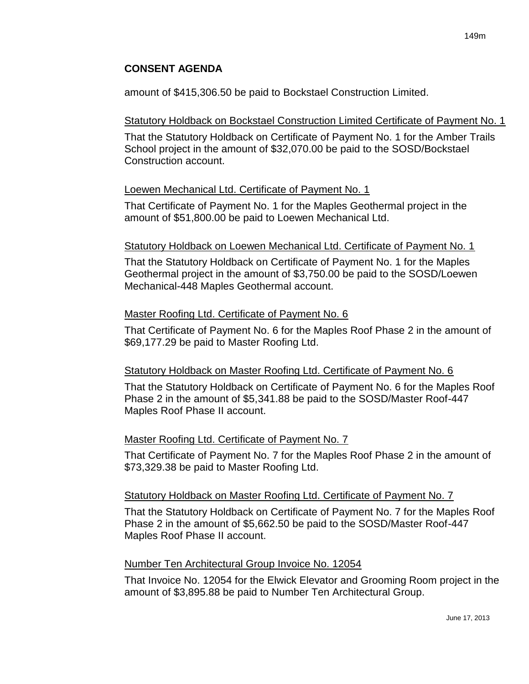# **CONSENT AGENDA**

amount of \$415,306.50 be paid to Bockstael Construction Limited.

## Statutory Holdback on Bockstael Construction Limited Certificate of Payment No. 1

That the Statutory Holdback on Certificate of Payment No. 1 for the Amber Trails School project in the amount of \$32,070.00 be paid to the SOSD/Bockstael Construction account.

# Loewen Mechanical Ltd. Certificate of Payment No. 1

That Certificate of Payment No. 1 for the Maples Geothermal project in the amount of \$51,800.00 be paid to Loewen Mechanical Ltd.

# Statutory Holdback on Loewen Mechanical Ltd. Certificate of Payment No. 1

That the Statutory Holdback on Certificate of Payment No. 1 for the Maples Geothermal project in the amount of \$3,750.00 be paid to the SOSD/Loewen Mechanical-448 Maples Geothermal account.

# Master Roofing Ltd. Certificate of Payment No. 6

That Certificate of Payment No. 6 for the Maples Roof Phase 2 in the amount of \$69,177.29 be paid to Master Roofing Ltd.

## Statutory Holdback on Master Roofing Ltd. Certificate of Payment No. 6

That the Statutory Holdback on Certificate of Payment No. 6 for the Maples Roof Phase 2 in the amount of \$5,341.88 be paid to the SOSD/Master Roof-447 Maples Roof Phase II account.

## Master Roofing Ltd. Certificate of Payment No. 7

That Certificate of Payment No. 7 for the Maples Roof Phase 2 in the amount of \$73,329.38 be paid to Master Roofing Ltd.

## Statutory Holdback on Master Roofing Ltd. Certificate of Payment No. 7

That the Statutory Holdback on Certificate of Payment No. 7 for the Maples Roof Phase 2 in the amount of \$5,662.50 be paid to the SOSD/Master Roof-447 Maples Roof Phase II account.

## Number Ten Architectural Group Invoice No. 12054

That Invoice No. 12054 for the Elwick Elevator and Grooming Room project in the amount of \$3,895.88 be paid to Number Ten Architectural Group.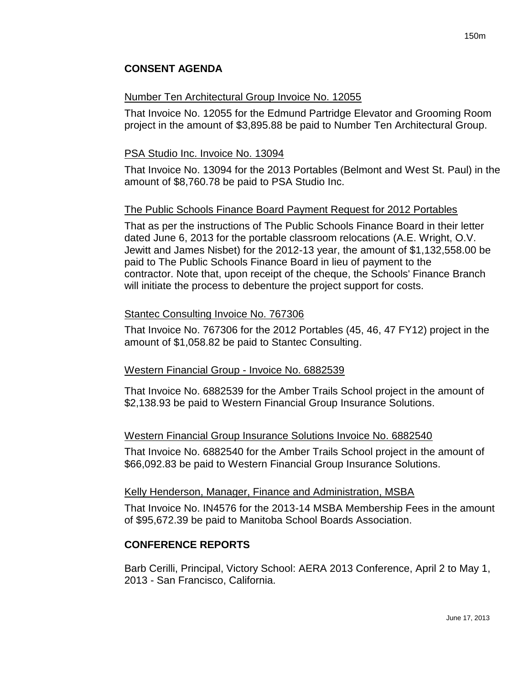# **CONSENT AGENDA**

#### Number Ten Architectural Group Invoice No. 12055

That Invoice No. 12055 for the Edmund Partridge Elevator and Grooming Room project in the amount of \$3,895.88 be paid to Number Ten Architectural Group.

#### PSA Studio Inc. Invoice No. 13094

That Invoice No. 13094 for the 2013 Portables (Belmont and West St. Paul) in the amount of \$8,760.78 be paid to PSA Studio Inc.

## The Public Schools Finance Board Payment Request for 2012 Portables

That as per the instructions of The Public Schools Finance Board in their letter dated June 6, 2013 for the portable classroom relocations (A.E. Wright, O.V. Jewitt and James Nisbet) for the 2012-13 year, the amount of \$1,132,558.00 be paid to The Public Schools Finance Board in lieu of payment to the contractor. Note that, upon receipt of the cheque, the Schools' Finance Branch will initiate the process to debenture the project support for costs.

#### Stantec Consulting Invoice No. 767306

That Invoice No. 767306 for the 2012 Portables (45, 46, 47 FY12) project in the amount of \$1,058.82 be paid to Stantec Consulting.

## Western Financial Group - Invoice No. 6882539

That Invoice No. 6882539 for the Amber Trails School project in the amount of \$2,138.93 be paid to Western Financial Group Insurance Solutions.

## Western Financial Group Insurance Solutions Invoice No. 6882540

That Invoice No. 6882540 for the Amber Trails School project in the amount of \$66,092.83 be paid to Western Financial Group Insurance Solutions.

#### Kelly Henderson, Manager, Finance and Administration, MSBA

That Invoice No. IN4576 for the 2013-14 MSBA Membership Fees in the amount of \$95,672.39 be paid to Manitoba School Boards Association.

## **CONFERENCE REPORTS**

Barb Cerilli, Principal, Victory School: AERA 2013 Conference, April 2 to May 1, 2013 - San Francisco, California.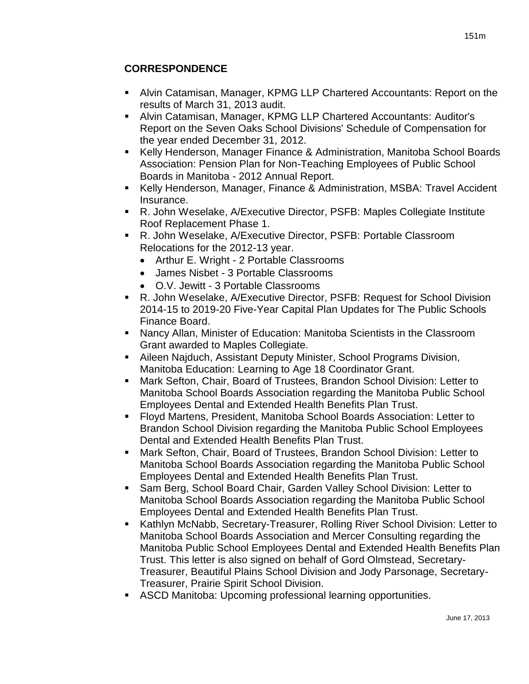# **CORRESPONDENCE**

- Alvin Catamisan, Manager, KPMG LLP Chartered Accountants: Report on the results of March 31, 2013 audit.
- Alvin Catamisan, Manager, KPMG LLP Chartered Accountants: Auditor's Report on the Seven Oaks School Divisions' Schedule of Compensation for the year ended December 31, 2012.
- Kelly Henderson, Manager Finance & Administration, Manitoba School Boards Association: Pension Plan for Non-Teaching Employees of Public School Boards in Manitoba - 2012 Annual Report.
- Kelly Henderson, Manager, Finance & Administration, MSBA: Travel Accident Insurance.
- R. John Weselake, A/Executive Director, PSFB: Maples Collegiate Institute Roof Replacement Phase 1.
- R. John Weselake, A/Executive Director, PSFB: Portable Classroom Relocations for the 2012-13 year.
	- Arthur E. Wright 2 Portable Classrooms
	- James Nisbet 3 Portable Classrooms
	- O.V. Jewitt 3 Portable Classrooms
- R. John Weselake, A/Executive Director, PSFB: Request for School Division 2014-15 to 2019-20 Five-Year Capital Plan Updates for The Public Schools Finance Board.
- Nancy Allan, Minister of Education: Manitoba Scientists in the Classroom Grant awarded to Maples Collegiate.
- Aileen Najduch, Assistant Deputy Minister, School Programs Division, Manitoba Education: Learning to Age 18 Coordinator Grant.
- Mark Sefton, Chair, Board of Trustees, Brandon School Division: Letter to Manitoba School Boards Association regarding the Manitoba Public School Employees Dental and Extended Health Benefits Plan Trust.
- Floyd Martens, President, Manitoba School Boards Association: Letter to Brandon School Division regarding the Manitoba Public School Employees Dental and Extended Health Benefits Plan Trust.
- Mark Sefton, Chair, Board of Trustees, Brandon School Division: Letter to Manitoba School Boards Association regarding the Manitoba Public School Employees Dental and Extended Health Benefits Plan Trust.
- Sam Berg, School Board Chair, Garden Valley School Division: Letter to Manitoba School Boards Association regarding the Manitoba Public School Employees Dental and Extended Health Benefits Plan Trust.
- **Kathlyn McNabb, Secretary-Treasurer, Rolling River School Division: Letter to** Manitoba School Boards Association and Mercer Consulting regarding the Manitoba Public School Employees Dental and Extended Health Benefits Plan Trust. This letter is also signed on behalf of Gord Olmstead, Secretary-Treasurer, Beautiful Plains School Division and Jody Parsonage, Secretary-Treasurer, Prairie Spirit School Division.
- ASCD Manitoba: Upcoming professional learning opportunities.